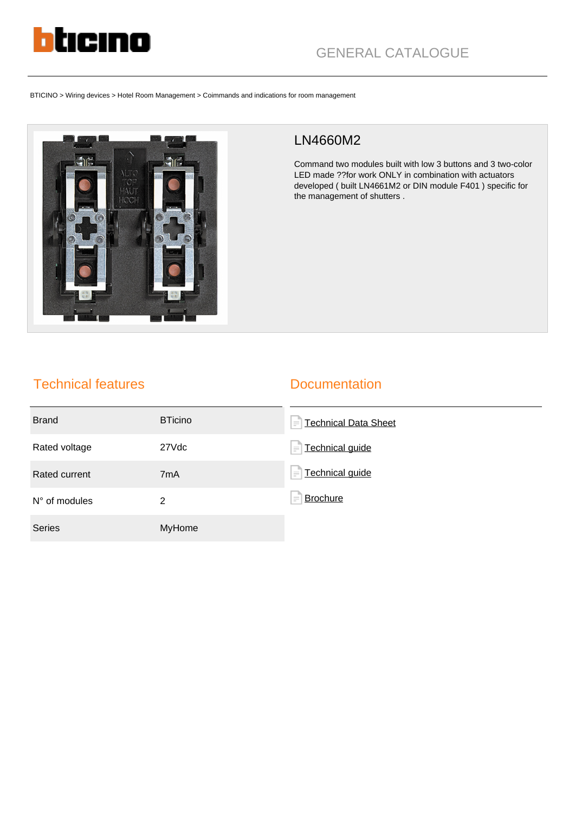

BTICINO > Wiring devices > Hotel Room Management > Coimmands and indications for room management



## LN4660M2

Command two modules built with low 3 buttons and 3 two-color LED made ??for work ONLY in combination with actuators developed ( built LN4661M2 or DIN module F401 ) specific for the management of shutters .

## Technical features

## **Documentation**

| <b>Brand</b>    | <b>BTicino</b>   | <b>Technical Data Sheet</b><br>$\equiv$ |
|-----------------|------------------|-----------------------------------------|
| Rated voltage   | 27Vdc            | <b>Technical guide</b><br>$=$           |
| Rated current   | 7 <sub>m</sub> A | Technical guide<br>l'="                 |
| $N°$ of modules | 2                | <b>Brochure</b><br>$\equiv$             |
| <b>Series</b>   | <b>MyHome</b>    |                                         |